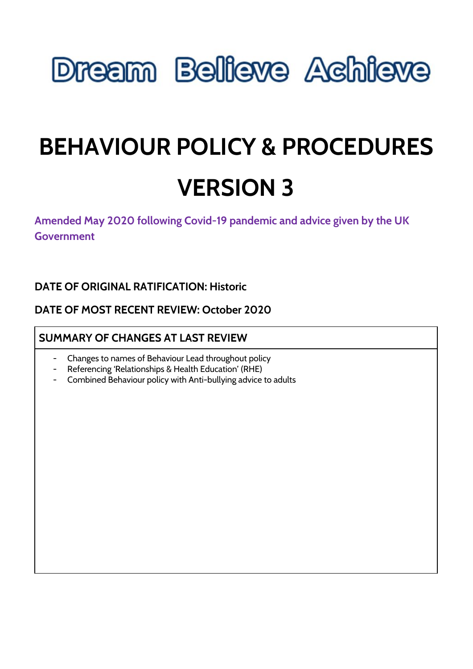# **Dream Believe Achieve**

## **BEHAVIOUR POLICY & PROCEDURES VERSION 3**

**Amended May 2020 following Covid-19 pandemic and advice given by the UK Government**

## **DATE OF ORIGINAL RATIFICATION: Historic**

### **DATE OF MOST RECENT REVIEW: October 2020**

## **SUMMARY OF CHANGES AT LAST REVIEW**

- Changes to names of Behaviour Lead throughout policy
- Referencing 'Relationships & Health Education' (RHE)
- Combined Behaviour policy with Anti-bullying advice to adults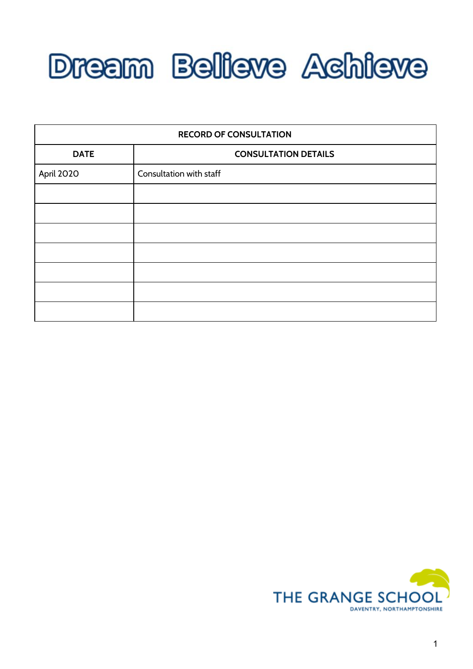

| <b>RECORD OF CONSULTATION</b> |                             |
|-------------------------------|-----------------------------|
| <b>DATE</b>                   | <b>CONSULTATION DETAILS</b> |
| April 2020                    | Consultation with staff     |
|                               |                             |
|                               |                             |
|                               |                             |
|                               |                             |
|                               |                             |
|                               |                             |
|                               |                             |

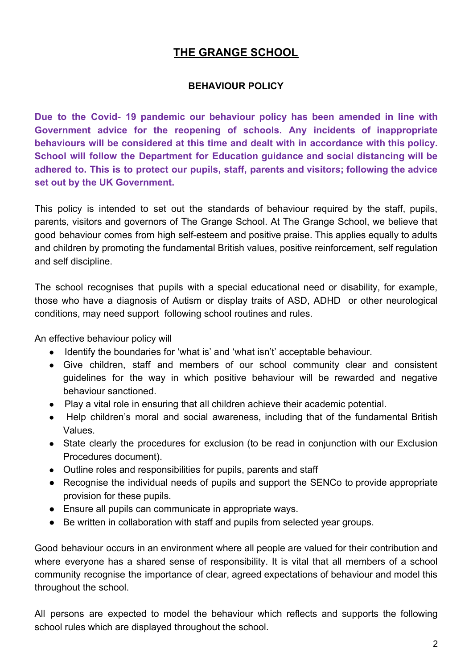## **THE GRANGE SCHOOL**

#### **BEHAVIOUR POLICY**

**Due to the Covid- 19 pandemic our behaviour policy has been amended in line with Government advice for the reopening of schools. Any incidents of inappropriate behaviours will be considered at this time and dealt with in accordance with this policy. School will follow the Department for Education guidance and social distancing will be adhered to. This is to protect our pupils, staff, parents and visitors; following the advice set out by the UK Government.**

This policy is intended to set out the standards of behaviour required by the staff, pupils, parents, visitors and governors of The Grange School. At The Grange School, we believe that good behaviour comes from high self-esteem and positive praise. This applies equally to adults and children by promoting the fundamental British values, positive reinforcement, self regulation and self discipline.

The school recognises that pupils with a special educational need or disability, for example, those who have a diagnosis of Autism or display traits of ASD, ADHD or other neurological conditions, may need support following school routines and rules.

An effective behaviour policy will

- Identify the boundaries for 'what is' and 'what isn't' acceptable behaviour.
- Give children, staff and members of our school community clear and consistent guidelines for the way in which positive behaviour will be rewarded and negative behaviour sanctioned.
- Play a vital role in ensuring that all children achieve their academic potential.
- Help children's moral and social awareness, including that of the fundamental British Values.
- State clearly the procedures for exclusion (to be read in conjunction with our Exclusion Procedures document).
- Outline roles and responsibilities for pupils, parents and staff
- Recognise the individual needs of pupils and support the SENCo to provide appropriate provision for these pupils.
- Ensure all pupils can communicate in appropriate ways.
- Be written in collaboration with staff and pupils from selected year groups.

Good behaviour occurs in an environment where all people are valued for their contribution and where everyone has a shared sense of responsibility. It is vital that all members of a school community recognise the importance of clear, agreed expectations of behaviour and model this throughout the school.

All persons are expected to model the behaviour which reflects and supports the following school rules which are displayed throughout the school.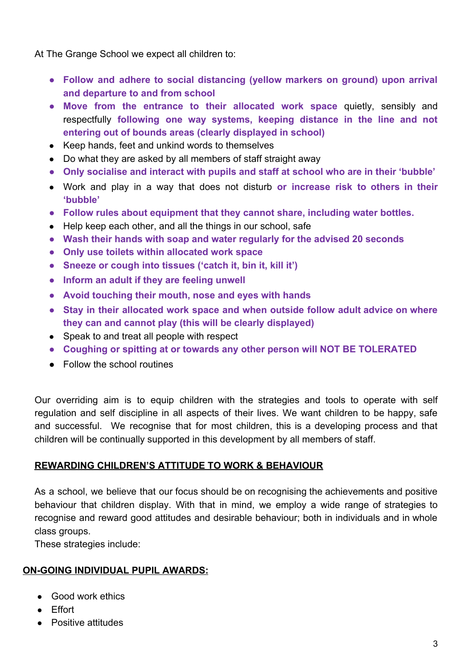At The Grange School we expect all children to:

- **● Follow and adhere to social distancing (yellow markers on ground) upon arrival and departure to and from school**
- **● Move from the entrance to their allocated work space** quietly, sensibly and respectfully **following one way systems, keeping distance in the line and not entering out of bounds areas (clearly displayed in school)**
- Keep hands, feet and unkind words to themselves
- Do what they are asked by all members of staff straight away
- **● Only socialise and interact with pupils and staff at school who are in their 'bubble'**
- Work and play in a way that does not disturb **or increase risk to others in their 'bubble'**
- **● Follow rules about equipment that they cannot share, including water bottles.**
- Help keep each other, and all the things in our school, safe
- **● Wash their hands with soap and water regularly for the advised 20 seconds**
- **● Only use toilets within allocated work space**
- **● Sneeze or cough into tissues ('catch it, bin it, kill it')**
- **● Inform an adult if they are feeling unwell**
- **● Avoid touching their mouth, nose and eyes with hands**
- **● Stay in their allocated work space and when outside follow adult advice on where they can and cannot play (this will be clearly displayed)**
- Speak to and treat all people with respect
- **● Coughing or spitting at or towards any other person will NOT BE TOLERATED**
- Follow the school routines

Our overriding aim is to equip children with the strategies and tools to operate with self regulation and self discipline in all aspects of their lives. We want children to be happy, safe and successful. We recognise that for most children, this is a developing process and that children will be continually supported in this development by all members of staff.

#### **REWARDING CHILDREN'S ATTITUDE TO WORK & BEHAVIOUR**

As a school, we believe that our focus should be on recognising the achievements and positive behaviour that children display. With that in mind, we employ a wide range of strategies to recognise and reward good attitudes and desirable behaviour; both in individuals and in whole class groups.

These strategies include:

#### **ON-GOING INDIVIDUAL PUPIL AWARDS:**

- Good work ethics
- Effort
- Positive attitudes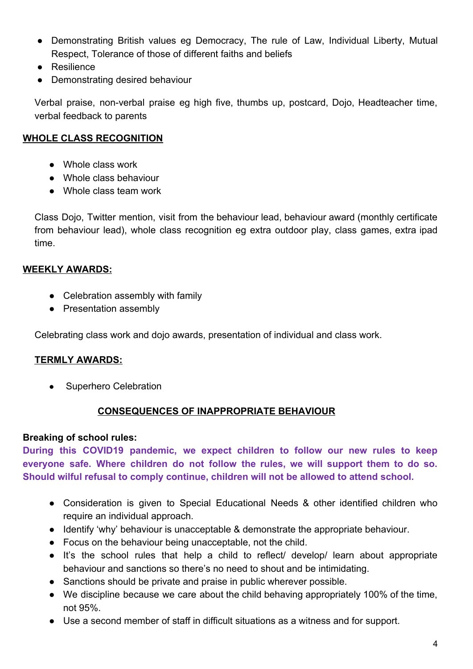- Demonstrating British values eg Democracy, The rule of Law, Individual Liberty, Mutual Respect, Tolerance of those of different faiths and beliefs
- Resilience
- Demonstrating desired behaviour

Verbal praise, non-verbal praise eg high five, thumbs up, postcard, Dojo, Headteacher time, verbal feedback to parents

#### **WHOLE CLASS RECOGNITION**

- Whole class work
- Whole class behaviour
- Whole class team work

Class Dojo, Twitter mention, visit from the behaviour lead, behaviour award (monthly certificate from behaviour lead), whole class recognition eg extra outdoor play, class games, extra ipad time.

#### **WEEKLY AWARDS:**

- Celebration assembly with family
- Presentation assembly

Celebrating class work and dojo awards, presentation of individual and class work.

#### **TERMLY AWARDS:**

• Superhero Celebration

#### **CONSEQUENCES OF INAPPROPRIATE BEHAVIOUR**

#### **Breaking of school rules:**

**During this COVID19 pandemic, we expect children to follow our new rules to keep everyone safe. Where children do not follow the rules, we will support them to do so. Should wilful refusal to comply continue, children will not be allowed to attend school.**

- Consideration is given to Special Educational Needs & other identified children who require an individual approach.
- Identify 'why' behaviour is unacceptable & demonstrate the appropriate behaviour.
- Focus on the behaviour being unacceptable, not the child.
- It's the school rules that help a child to reflect/ develop/ learn about appropriate behaviour and sanctions so there's no need to shout and be intimidating.
- Sanctions should be private and praise in public wherever possible.
- We discipline because we care about the child behaving appropriately 100% of the time, not 95%.
- Use a second member of staff in difficult situations as a witness and for support.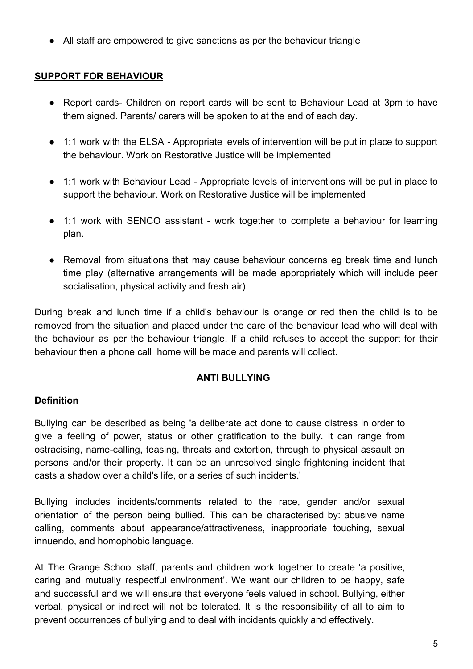● All staff are empowered to give sanctions as per the behaviour triangle

#### **SUPPORT FOR BEHAVIOUR**

- Report cards- Children on report cards will be sent to Behaviour Lead at 3pm to have them signed. Parents/ carers will be spoken to at the end of each day.
- 1:1 work with the ELSA Appropriate levels of intervention will be put in place to support the behaviour. Work on Restorative Justice will be implemented
- 1:1 work with Behaviour Lead Appropriate levels of interventions will be put in place to support the behaviour. Work on Restorative Justice will be implemented
- 1:1 work with SENCO assistant work together to complete a behaviour for learning plan.
- Removal from situations that may cause behaviour concerns eg break time and lunch time play (alternative arrangements will be made appropriately which will include peer socialisation, physical activity and fresh air)

During break and lunch time if a child's behaviour is orange or red then the child is to be removed from the situation and placed under the care of the behaviour lead who will deal with the behaviour as per the behaviour triangle. If a child refuses to accept the support for their behaviour then a phone call home will be made and parents will collect.

#### **ANTI BULLYING**

#### **Definition**

Bullying can be described as being 'a deliberate act done to cause distress in order to give a feeling of power, status or other gratification to the bully. It can range from ostracising, name-calling, teasing, threats and extortion, through to physical assault on persons and/or their property. It can be an unresolved single frightening incident that casts a shadow over a child's life, or a series of such incidents.'

Bullying includes incidents/comments related to the race, gender and/or sexual orientation of the person being bullied. This can be characterised by: abusive name calling, comments about appearance/attractiveness, inappropriate touching, sexual innuendo, and homophobic language.

At The Grange School staff, parents and children work together to create 'a positive, caring and mutually respectful environment'. We want our children to be happy, safe and successful and we will ensure that everyone feels valued in school. Bullying, either verbal, physical or indirect will not be tolerated. It is the responsibility of all to aim to prevent occurrences of bullying and to deal with incidents quickly and effectively.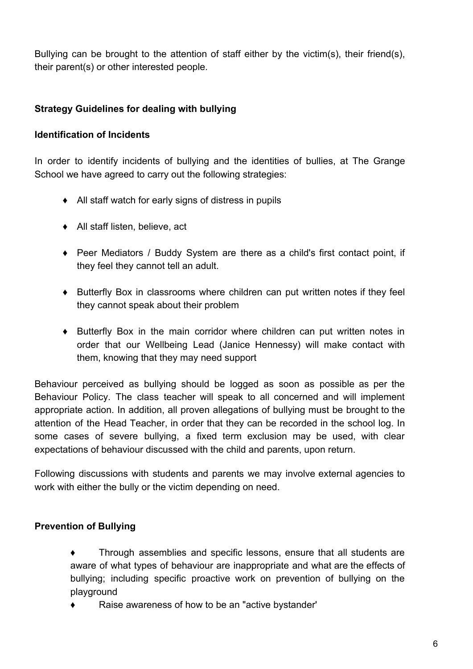Bullying can be brought to the attention of staff either by the victim(s), their friend(s), their parent(s) or other interested people.

#### **Strategy Guidelines for dealing with bullying**

#### **Identification of Incidents**

In order to identify incidents of bullying and the identities of bullies, at The Grange School we have agreed to carry out the following strategies:

- ♦ All staff watch for early signs of distress in pupils
- ♦ All staff listen, believe, act
- ♦ Peer Mediators / Buddy System are there as a child's first contact point, if they feel they cannot tell an adult.
- ♦ Butterfly Box in classrooms where children can put written notes if they feel they cannot speak about their problem
- ♦ Butterfly Box in the main corridor where children can put written notes in order that our Wellbeing Lead (Janice Hennessy) will make contact with them, knowing that they may need support

Behaviour perceived as bullying should be logged as soon as possible as per the Behaviour Policy. The class teacher will speak to all concerned and will implement appropriate action. In addition, all proven allegations of bullying must be brought to the attention of the Head Teacher, in order that they can be recorded in the school log. In some cases of severe bullying, a fixed term exclusion may be used, with clear expectations of behaviour discussed with the child and parents, upon return.

Following discussions with students and parents we may involve external agencies to work with either the bully or the victim depending on need.

#### **Prevention of Bullying**

- ♦ Through assemblies and specific lessons, ensure that all students are aware of what types of behaviour are inappropriate and what are the effects of bullying; including specific proactive work on prevention of bullying on the playground
- ♦ Raise awareness of how to be an "active bystander'